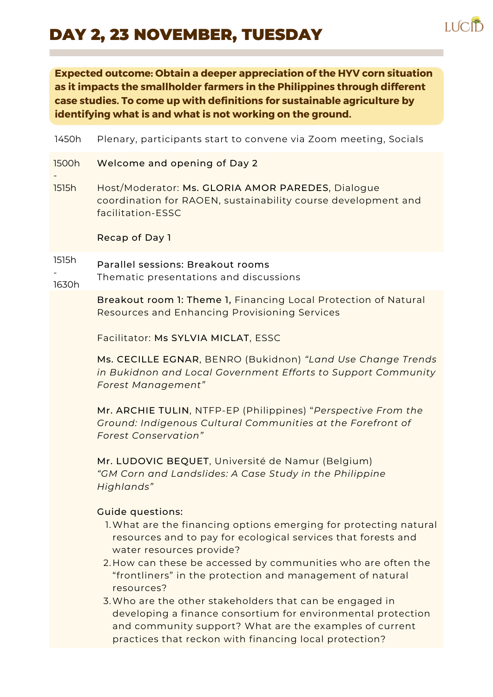## DAY 2, 23 NOVEMBER, TUESDAY



**Expected outcome: Obtain a deeper appreciation of the HYV corn situation as it impacts the smallholder farmers in the Philippines through different case studies. To come up with definitions for sustainable agriculture by identifying what is and what is not working on the ground.**

| 1450h          | Plenary, participants start to convene via Zoom meeting, Socials                                                                                                                                                                                                                                                                                                                                                                                                                                                                                                                       |
|----------------|----------------------------------------------------------------------------------------------------------------------------------------------------------------------------------------------------------------------------------------------------------------------------------------------------------------------------------------------------------------------------------------------------------------------------------------------------------------------------------------------------------------------------------------------------------------------------------------|
| 1500h          | Welcome and opening of Day 2                                                                                                                                                                                                                                                                                                                                                                                                                                                                                                                                                           |
| 1515h          | Host/Moderator: Ms. GLORIA AMOR PAREDES, Dialogue<br>coordination for RAOEN, sustainability course development and<br>facilitation-ESSC                                                                                                                                                                                                                                                                                                                                                                                                                                                |
|                | Recap of Day 1                                                                                                                                                                                                                                                                                                                                                                                                                                                                                                                                                                         |
| 1515h<br>1630h | Parallel sessions: Breakout rooms<br>Thematic presentations and discussions                                                                                                                                                                                                                                                                                                                                                                                                                                                                                                            |
|                | Breakout room 1: Theme 1, Financing Local Protection of Natural<br>Resources and Enhancing Provisioning Services                                                                                                                                                                                                                                                                                                                                                                                                                                                                       |
|                | Facilitator: Ms SYLVIA MICLAT, ESSC                                                                                                                                                                                                                                                                                                                                                                                                                                                                                                                                                    |
|                | Ms. CECILLE EGNAR, BENRO (Bukidnon) "Land Use Change Trends<br>in Bukidnon and Local Government Efforts to Support Community<br><b>Forest Management"</b>                                                                                                                                                                                                                                                                                                                                                                                                                              |
|                | Mr. ARCHIE TULIN, NTFP-EP (Philippines) "Perspective From the<br>Ground: Indigenous Cultural Communities at the Forefront of<br><b>Forest Conservation"</b>                                                                                                                                                                                                                                                                                                                                                                                                                            |
|                | Mr. LUDOVIC BEQUET, Université de Namur (Belgium)<br>"GM Corn and Landslides: A Case Study in the Philippine<br>Highlands"                                                                                                                                                                                                                                                                                                                                                                                                                                                             |
|                | <b>Guide questions:</b><br>1. What are the financing options emerging for protecting natural<br>resources and to pay for ecological services that forests and<br>water resources provide?<br>2. How can these be accessed by communities who are often the<br>"frontliners" in the protection and management of natural<br>resources?<br>3. Who are the other stakeholders that can be engaged in<br>developing a finance consortium for environmental protection<br>and community support? What are the examples of current<br>practices that reckon with financing local protection? |
|                |                                                                                                                                                                                                                                                                                                                                                                                                                                                                                                                                                                                        |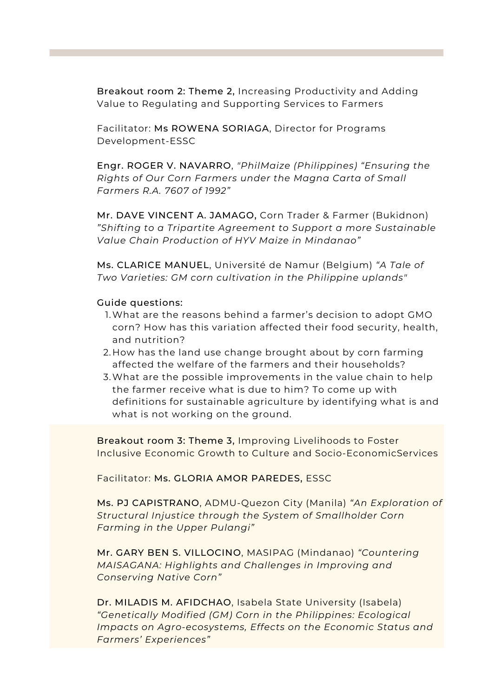Breakout room 2: Theme 2, Increasing Productivity and Adding Value to Regulating and Supporting Services to Farmers

Facilitator: Ms ROWENA SORIAGA, Director for Programs Development-ESSC

Engr. ROGER V. NAVARRO, *"PhilMaize (Philippines) "Ensuring the Rights of Our Corn Farmers under the Magna Carta of Small Farmers R.A. 7607 of 1992"*

Mr. DAVE VINCENT A. JAMAGO, Corn Trader & Farmer (Bukidnon) *"Shifting to a Tripartite Agreement to Support a more Sustainable Value Chain Production of HYV Maize in Mindanao"*

Ms. CLARICE MANUEL, Université de Namur (Belgium) *"A Tale of Two Varieties: GM corn cultivation in the Philippine uplands"*

## Guide questions:

- What are the reasons behind a farmer's decision to adopt GMO 1. corn? How has this variation affected their food security, health, and nutrition?
- 2.How has the land use change brought about by corn farming affected the welfare of the farmers and their households?
- What are the possible improvements in the value chain to help 3. the farmer receive what is due to him? To come up with definitions for sustainable agriculture by identifying what is and what is not working on the ground.

Breakout room 3: Theme 3, Improving Livelihoods to Foster Inclusive Economic Growth to Culture and Socio-EconomicServices

Facilitator: Ms. GLORIA AMOR PAREDES, ESSC

Ms. PJ CAPISTRANO, ADMU-Quezon City (Manila) *"An Exploration of Structural Injustice through the System of Smallholder Corn Farming in the Upper Pulangi"*

Mr. GARY BEN S. VILLOCINO, MASIPAG (Mindanao) *"Countering MAISAGANA: Highlights and Challenges in Improving and Conserving Native Corn"*

Dr. MILADIS M. AFIDCHAO, Isabela State University (Isabela) *"Genetically Modified (GM) Corn in the Philippines: Ecological Impacts on Agro-ecosystems, Effects on the Economic Status and Farmers' Experiences"*